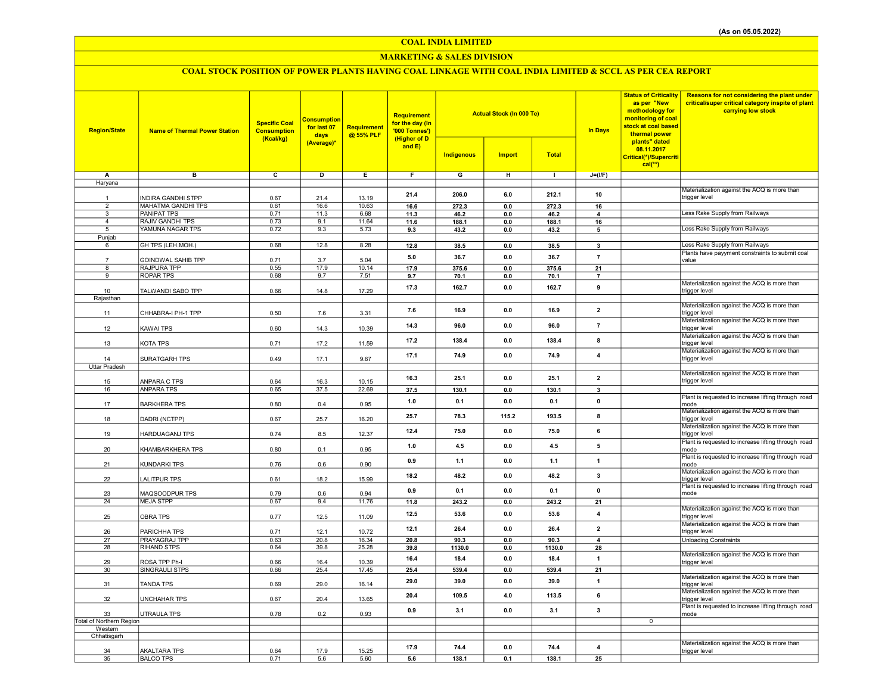## COAL INDIA LIMITED

## MARKETING & SALES DIVISION

# COAL STOCK POSITION OF POWER PLANTS HAVING COAL LINKAGE WITH COAL INDIA LIMITED & SCCL AS PER CEA REPORT

| <b>Region/State</b>            | <b>Name of Thermal Power Station</b>            | <b>Specific Coal</b><br><b>Consumption</b><br>(Kcal/kg) | <b>Consumption</b><br>for last 07<br>days<br>(Average)* | <b>Requirement</b><br>@ 55% PLF | Requirement<br>for the day (In<br>'000 Tonnes')<br>(Higher of D<br>and E) | <b>Actual Stock (In 000 Te)</b><br><b>Indigenous</b><br><b>Import</b><br><b>Total</b> |                |               | <b>In Days</b>          | <b>Status of Criticality</b><br>as per "New<br>methodology for<br>monitoring of coal<br>stock at coal based<br>thermal power<br>plants" dated<br>08.11.2017<br>Critical(*)/Supercriti | Reasons for not considering the plant under<br>critical/super critical category inspite of plant<br>carrying low stock |
|--------------------------------|-------------------------------------------------|---------------------------------------------------------|---------------------------------------------------------|---------------------------------|---------------------------------------------------------------------------|---------------------------------------------------------------------------------------|----------------|---------------|-------------------------|---------------------------------------------------------------------------------------------------------------------------------------------------------------------------------------|------------------------------------------------------------------------------------------------------------------------|
|                                |                                                 |                                                         |                                                         |                                 |                                                                           |                                                                                       |                |               |                         | $cal(**)$                                                                                                                                                                             |                                                                                                                        |
| Α                              | в                                               | c                                                       | D                                                       | Ε                               | $\overline{F}$                                                            | G                                                                                     | н              | $\mathbf{L}$  | $J=(I/F)$               |                                                                                                                                                                                       |                                                                                                                        |
| Haryana                        |                                                 |                                                         |                                                         |                                 |                                                                           |                                                                                       |                |               |                         |                                                                                                                                                                                       |                                                                                                                        |
|                                |                                                 |                                                         |                                                         |                                 | 21.4                                                                      | 206.0                                                                                 | 6.0            | 212.1         | 10                      |                                                                                                                                                                                       | Materialization against the ACQ is more than                                                                           |
| $\mathbf{1}$<br>$\overline{2}$ | <b>INDIRA GANDHI STPP</b>                       | 0.67                                                    | 21.4                                                    | 13.19                           |                                                                           |                                                                                       |                |               |                         |                                                                                                                                                                                       | trigger level                                                                                                          |
| $\overline{3}$                 | <b>MAHATMA GANDHI TPS</b><br><b>PANIPAT TPS</b> | 0.61<br>0.71                                            | 16.6<br>11.3                                            | 10.63<br>6.68                   | 16.6                                                                      | 272.3<br>46.2                                                                         | $0.0\,$<br>0.0 | 272.3<br>46.2 | 16                      |                                                                                                                                                                                       | Less Rake Supply from Railways                                                                                         |
| $\overline{4}$                 | RAJIV GANDHI TPS                                | 0.73                                                    | 9.1                                                     | 11.64                           | 11.3<br>11.6                                                              | 188.1                                                                                 | 0.0            | 188.1         | 4<br>16                 |                                                                                                                                                                                       |                                                                                                                        |
| 5                              | YAMUNA NAGAR TPS                                | 0.72                                                    | 9.3                                                     | 5.73                            | 9.3                                                                       | 43.2                                                                                  | 0.0            | 43.2          | 5                       |                                                                                                                                                                                       | Less Rake Supply from Railways                                                                                         |
| Punjab                         |                                                 |                                                         |                                                         |                                 |                                                                           |                                                                                       |                |               |                         |                                                                                                                                                                                       |                                                                                                                        |
| 6                              | GH TPS (LEH.MOH.)                               | 0.68                                                    | 12.8                                                    | 8.28                            | 12.8                                                                      | 38.5                                                                                  | $\mathbf{0.0}$ | 38.5          | $\mathbf{3}$            |                                                                                                                                                                                       | Less Rake Supply from Railways                                                                                         |
|                                |                                                 |                                                         |                                                         |                                 | 5.0                                                                       | 36.7                                                                                  | 0.0            | 36.7          | $\overline{7}$          |                                                                                                                                                                                       | Plants have payyment constraints to submit coal                                                                        |
| 8                              | GOINDWAL SAHIB TPP<br>RAJPURA TPP               | 0.71<br>0.55                                            | 3.7<br>17.9                                             | 5.04<br>10.14                   | 17.9                                                                      | 375.6                                                                                 | 0.0            | 375.6         | 21                      |                                                                                                                                                                                       | value                                                                                                                  |
| 9                              | <b>ROPAR TPS</b>                                | 0.68                                                    | 9.7                                                     | 7.51                            | 9.7                                                                       | 70.1                                                                                  | 0.0            | 70.1          | $\overline{7}$          |                                                                                                                                                                                       |                                                                                                                        |
|                                |                                                 |                                                         |                                                         |                                 |                                                                           |                                                                                       |                |               |                         |                                                                                                                                                                                       | Materialization against the ACQ is more than                                                                           |
| 10                             | TALWANDI SABO TPP                               | 0.66                                                    | 14.8                                                    | 17.29                           | 17.3                                                                      | 162.7                                                                                 | 0.0            | 162.7         | 9                       |                                                                                                                                                                                       | trigger level                                                                                                          |
| Rajasthan                      |                                                 |                                                         |                                                         |                                 |                                                                           |                                                                                       |                |               |                         |                                                                                                                                                                                       |                                                                                                                        |
| 11                             | CHHABRA-I PH-1 TPP                              | 0.50                                                    | 7.6                                                     | 3.31                            | 7.6                                                                       | 16.9                                                                                  | 0.0            | 16.9          | $\overline{2}$          |                                                                                                                                                                                       | Materialization against the ACQ is more than<br>trigger level                                                          |
| 12                             | <b>KAWAI TPS</b>                                | 0.60                                                    | 14.3                                                    | 10.39                           | 14.3                                                                      | 96.0                                                                                  | 0.0            | 96.0          | $\overline{7}$          |                                                                                                                                                                                       | Materialization against the ACQ is more than<br>trigger level                                                          |
| 13                             | KOTA TPS                                        | 0.71                                                    | 17.2                                                    | 11.59                           | 17.2                                                                      | 138.4                                                                                 | $0.0\,$        | 138.4         | 8                       |                                                                                                                                                                                       | Materialization against the ACQ is more than<br>trigger level                                                          |
|                                |                                                 |                                                         |                                                         |                                 | 17.1                                                                      | 74.9                                                                                  | 0.0            | 74.9          | $\overline{\mathbf{4}}$ |                                                                                                                                                                                       | Materialization against the ACQ is more than                                                                           |
| 14                             | SURATGARH TPS                                   | 0.49                                                    | 17.1                                                    | 9.67                            |                                                                           |                                                                                       |                |               |                         |                                                                                                                                                                                       | trigger level                                                                                                          |
| <b>Uttar Pradesh</b>           |                                                 |                                                         |                                                         |                                 |                                                                           |                                                                                       |                |               |                         |                                                                                                                                                                                       | Materialization against the ACQ is more than                                                                           |
| 15                             | ANPARA C TPS                                    | 0.64                                                    | 16.3                                                    | 10.15                           | 16.3                                                                      | 25.1                                                                                  | 0.0            | 25.1          | $\overline{2}$          |                                                                                                                                                                                       | trigger level                                                                                                          |
| 16                             | <b>ANPARA TPS</b>                               | 0.65                                                    | 37.5                                                    | 22.69                           | 37.5                                                                      | 130.1                                                                                 | $0.0\,$        | 130.1         | $\overline{\mathbf{3}}$ |                                                                                                                                                                                       |                                                                                                                        |
| 17                             | <b>BARKHERA TPS</b>                             | 0.80                                                    | 0.4                                                     | 0.95                            | 1.0                                                                       | 0.1                                                                                   | 0.0            | 0.1           | $\mathbf 0$             |                                                                                                                                                                                       | Plant is requested to increase lifting through road<br>mode                                                            |
| 18                             | DADRI (NCTPP)                                   | 0.67                                                    | 25.7                                                    | 16.20                           | 25.7                                                                      | 78.3                                                                                  | 115.2          | 193.5         | 8                       |                                                                                                                                                                                       | Materialization against the ACQ is more than<br>trigger level                                                          |
| 19                             | <b>HARDUAGANJ TPS</b>                           | 0.74                                                    | 8.5                                                     | 12.37                           | 12.4                                                                      | 75.0                                                                                  | 0.0            | 75.0          | 6                       |                                                                                                                                                                                       | Materialization against the ACQ is more than<br>trigger level                                                          |
| 20                             | KHAMBARKHERA TPS                                | 0.80                                                    | 0.1                                                     | 0.95                            | 1.0                                                                       | 4.5                                                                                   | 0.0            | 4.5           | 5                       |                                                                                                                                                                                       | Plant is requested to increase lifting through road<br>mode                                                            |
| 21                             | KUNDARKI TPS                                    | 0.76                                                    | 0.6                                                     | 0.90                            | 0.9                                                                       | 1.1                                                                                   | 0.0            | 1.1           | 1                       |                                                                                                                                                                                       | Plant is requested to increase lifting through road<br>mode                                                            |
|                                |                                                 |                                                         |                                                         |                                 | 18.2                                                                      | 48.2                                                                                  | 0.0            | 48.2          | $\overline{\mathbf{3}}$ |                                                                                                                                                                                       | Materialization against the ACQ is more than                                                                           |
| 22                             | <b>LALITPUR TPS</b>                             | 0.61                                                    | 18.2                                                    | 15.99                           |                                                                           |                                                                                       |                |               |                         |                                                                                                                                                                                       | trigger level<br>Plant is requested to increase lifting through road                                                   |
| 23                             | MAQSOODPUR TPS                                  | 0.79                                                    | 0.6                                                     | 0.94                            | 0.9                                                                       | 0.1                                                                                   | 0.0            | 0.1           | $\mathbf 0$             |                                                                                                                                                                                       | mode                                                                                                                   |
| 24                             | <b>MEJA STPP</b>                                | 0.67                                                    | 9.4                                                     | 11.76                           | 11.8                                                                      | 243.2                                                                                 | 0.0            | 243.2         | 21                      |                                                                                                                                                                                       |                                                                                                                        |
| 25                             | <b>OBRA TPS</b>                                 | 0.77                                                    | 12.5                                                    | 11.09                           | 12.5                                                                      | 53.6                                                                                  | 0.0            | 53.6          | $\overline{4}$          |                                                                                                                                                                                       | Materialization against the ACQ is more than<br>trigger level                                                          |
| 26                             | PARICHHA TPS                                    | 0.71                                                    | 12.1                                                    | 10.72                           | 12.1                                                                      | 26.4                                                                                  | 0.0            | 26.4          | $\overline{\mathbf{2}}$ |                                                                                                                                                                                       | Materialization against the ACQ is more than<br>trigger level                                                          |
| 27                             | PRAYAGRAJ TPP                                   | 0.63                                                    | 20.8                                                    | 16.34                           | 20.8                                                                      | 90.3                                                                                  | 0.0            | 90.3          | $\overline{a}$          |                                                                                                                                                                                       | <b>Unloading Constraints</b>                                                                                           |
| 28                             | RIHAND STPS                                     | 0.64                                                    | 39.8                                                    | 25.28                           | 39.8                                                                      | 1130.0                                                                                | 0.0            | 1130.0        | 28                      |                                                                                                                                                                                       |                                                                                                                        |
| 29                             | ROSA TPP Ph-I                                   | 0.66                                                    | 16.4                                                    | 10.39                           | 16.4                                                                      | 18.4                                                                                  | 0.0            | 18.4          | $\overline{1}$          |                                                                                                                                                                                       | Materialization against the ACQ is more than<br>trigger level                                                          |
| 30                             | SINGRAULI STPS                                  | 0.66                                                    | 25.4                                                    | 17.45                           | 25.4                                                                      | 539.4                                                                                 | $0.0\,$        | 539.4         | 21                      |                                                                                                                                                                                       |                                                                                                                        |
|                                |                                                 |                                                         |                                                         |                                 |                                                                           |                                                                                       |                |               |                         |                                                                                                                                                                                       | Materialization against the ACQ is more than                                                                           |
| 31                             | <b>TANDA TPS</b>                                | 0.69                                                    | 29.0                                                    | 16.14                           | 29.0                                                                      | 39.0                                                                                  | 0.0            | 39.0          | $\overline{1}$          |                                                                                                                                                                                       | trigger level                                                                                                          |
| 32                             | <b>UNCHAHAR TPS</b>                             | 0.67                                                    | 20.4                                                    | 13.65                           | 20.4                                                                      | 109.5                                                                                 | 4.0            | 113.5         | 6                       |                                                                                                                                                                                       | Materialization against the ACQ is more than<br>trigger level                                                          |
| 33                             | <b>UTRAULA TPS</b>                              | 0.78                                                    | 0.2                                                     | 0.93                            | 0.9                                                                       | 3.1                                                                                   | 0.0            | 3.1           | $\overline{\mathbf{3}}$ |                                                                                                                                                                                       | Plant is requested to increase lifting through road<br>mode                                                            |
| Total of Northern Region       |                                                 |                                                         |                                                         |                                 |                                                                           |                                                                                       |                |               |                         | $\overline{0}$                                                                                                                                                                        |                                                                                                                        |
| Western<br>Chhatisgarh         |                                                 |                                                         |                                                         |                                 |                                                                           |                                                                                       |                |               |                         |                                                                                                                                                                                       |                                                                                                                        |
|                                |                                                 |                                                         |                                                         |                                 |                                                                           |                                                                                       |                |               |                         |                                                                                                                                                                                       | Materialization against the ACQ is more than                                                                           |
| 34                             | <b>AKALTARA TPS</b>                             | 0.64                                                    | 17.9                                                    | 15.25                           | 17.9                                                                      | 74.4                                                                                  | 0.0            | 74.4          | $\overline{4}$          |                                                                                                                                                                                       | trigger level                                                                                                          |
| 35                             | <b>BALCO TPS</b>                                | 0.71                                                    | 5.6                                                     | 5.60                            | 5.6                                                                       | 138.1                                                                                 | 0.1            | 138.1         | 25                      |                                                                                                                                                                                       |                                                                                                                        |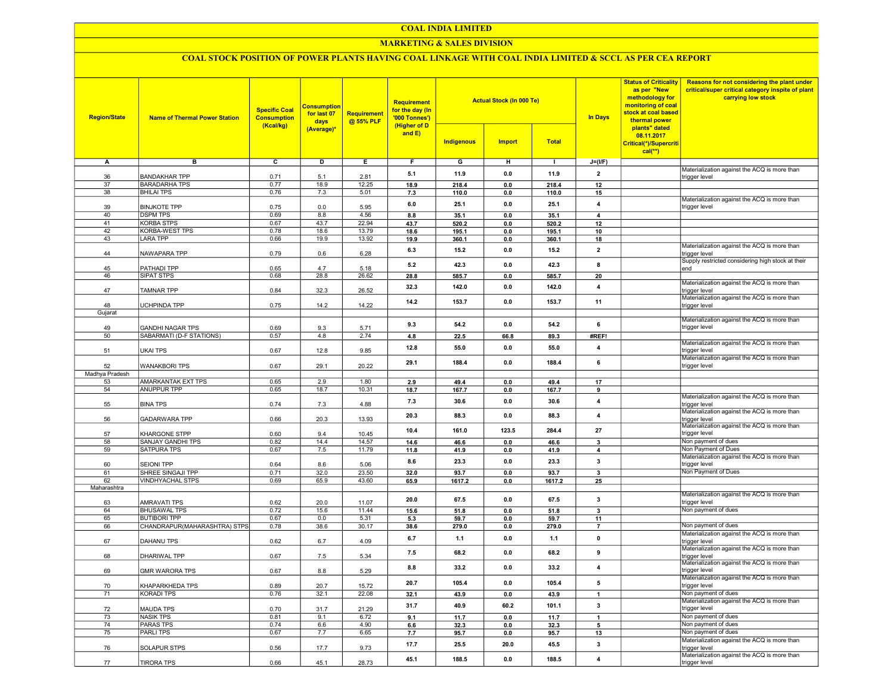#### COAL INDIA LIMITED

## MARKETING & SALES DIVISION

## COAL STOCK POSITION OF POWER PLANTS HAVING COAL LINKAGE WITH COAL INDIA LIMITED & SCCL AS PER CEA REPORT

| <b>Region/State</b> | <b>Name of Thermal Power Station</b> | <b>Specific Coal</b><br><b>Consumption</b><br>(Kcal/kg) | <b>Consumption</b><br>for last 07<br>days<br>(Average)* | <b>Requirement</b><br>@ 55% PLF | <b>Requirement</b><br>for the day (In<br>'000 Tonnes')<br>(Higher of D<br>and E) | <b>Indigenous</b> | <b>Actual Stock (In 000 Te)</b><br><b>Import</b> | <b>Total</b> | <b>In Days</b> | <b>Status of Criticality</b><br>as per "New<br>methodology for<br>monitoring of coal<br>stock at coal based<br>thermal power<br>plants" dated<br>08.11.2017<br>Critical(*)/Supercriti<br>$cal$ <sup>**</sup> ) | Reasons for not considering the plant under<br>critical/super critical category inspite of plant<br>carrying low stock |
|---------------------|--------------------------------------|---------------------------------------------------------|---------------------------------------------------------|---------------------------------|----------------------------------------------------------------------------------|-------------------|--------------------------------------------------|--------------|----------------|----------------------------------------------------------------------------------------------------------------------------------------------------------------------------------------------------------------|------------------------------------------------------------------------------------------------------------------------|
| Α                   | в                                    | $\overline{c}$                                          | D                                                       | Е.                              | F.                                                                               | G                 | н                                                | $\mathbf{I}$ | $J=(I/F)$      |                                                                                                                                                                                                                |                                                                                                                        |
|                     |                                      |                                                         |                                                         |                                 |                                                                                  |                   |                                                  |              | $\overline{2}$ |                                                                                                                                                                                                                | Materialization against the ACQ is more than                                                                           |
| 36                  | <b>BANDAKHAR TPP</b>                 | 0.71                                                    | 5.1                                                     | 2.81                            | 5.1                                                                              | 11.9              | 0.0                                              | 11.9         |                |                                                                                                                                                                                                                | trigger level                                                                                                          |
| 37                  | <b>BARADARHA TPS</b>                 | 0.77                                                    | 18.9                                                    | 12.25                           | 18.9                                                                             | 218.4             | 0.0                                              | 218.4        | 12             |                                                                                                                                                                                                                |                                                                                                                        |
| 38                  | <b>BHILAI TPS</b>                    | 0.76                                                    | 7.3                                                     | 5.01                            | 7.3                                                                              | 110.0             | 0.0                                              | 110.0        | 15             |                                                                                                                                                                                                                | Materialization against the ACQ is more than                                                                           |
| 39                  | <b>BINJKOTE TPP</b>                  | 0.75                                                    | 0.0                                                     | 5.95                            | 6.0                                                                              | 25.1              | 0.0                                              | 25.1         | $\overline{4}$ |                                                                                                                                                                                                                | trigger level                                                                                                          |
| 40                  | <b>DSPM TPS</b>                      | 0.69                                                    | 8.8                                                     | 4.56                            | 8.8                                                                              | 35.1              | 0.0                                              | 35.1         | $\overline{4}$ |                                                                                                                                                                                                                |                                                                                                                        |
| 41                  | <b>KORBA STPS</b>                    | 0.67                                                    | 43.7                                                    | 22.94                           | 43.7                                                                             | 520.2             | 0.0                                              | 520.2        | 12             |                                                                                                                                                                                                                |                                                                                                                        |
| 42                  | KORBA-WEST TPS                       | 0.78                                                    | 18.6                                                    | 13.79                           | 18.6                                                                             | 195.1             | 0.0                                              | 195.1        | 10             |                                                                                                                                                                                                                |                                                                                                                        |
| 43                  | LARA TPP                             | 0.66                                                    | 19.9                                                    | 13.92                           | 19.9                                                                             | 360.1             | 0.0                                              | 360.1        | 18             |                                                                                                                                                                                                                | Materialization against the ACQ is more than                                                                           |
| 44                  | NAWAPARA TPP                         | 0.79                                                    | 0.6                                                     | 6.28                            | 6.3                                                                              | 15.2              | 0.0                                              | 15.2         | $\overline{2}$ |                                                                                                                                                                                                                | trigger level                                                                                                          |
| 45                  | PATHADI TPP                          | 0.65                                                    | 4.7                                                     | 5.18                            | 5.2                                                                              | 42.3              | 0.0                                              | 42.3         | 8              |                                                                                                                                                                                                                | Supply restricted considering high stock at their<br>end                                                               |
| 46                  | SIPAT STPS                           | 0.68                                                    | 28.8                                                    | 26.62                           | 28.8                                                                             | 585.7             | 0.0                                              | 585.7        | 20             |                                                                                                                                                                                                                |                                                                                                                        |
|                     |                                      |                                                         |                                                         |                                 | 32.3                                                                             | 142.0             | 0.0                                              | 142.0        | $\overline{4}$ |                                                                                                                                                                                                                | Materialization against the ACQ is more than                                                                           |
| 47                  | TAMNAR TPP                           | 0.84                                                    | 32.3                                                    | 26.52                           |                                                                                  |                   |                                                  |              |                |                                                                                                                                                                                                                | trigger level<br>Materialization against the ACQ is more than                                                          |
| 48                  | UCHPINDA TPP                         | 0.75                                                    | 14.2                                                    | 14.22                           | 14.2                                                                             | 153.7             | 0.0                                              | 153.7        | 11             |                                                                                                                                                                                                                | trigger level                                                                                                          |
| Gujarat             |                                      |                                                         |                                                         |                                 |                                                                                  |                   |                                                  |              |                |                                                                                                                                                                                                                |                                                                                                                        |
|                     |                                      |                                                         |                                                         |                                 | 9.3                                                                              | 54.2              | 0.0                                              | 54.2         | 6              |                                                                                                                                                                                                                | Materialization against the ACQ is more than                                                                           |
| 49                  | <b>GANDHI NAGAR TPS</b>              | 0.69                                                    | 9.3                                                     | 5.71                            |                                                                                  |                   |                                                  |              |                |                                                                                                                                                                                                                | trigger level                                                                                                          |
| 50                  | SABARMATI (D-F STATIONS)             | 0.57                                                    | 4.8                                                     | 2.74                            | 4.8                                                                              | 22.5              | 66.8                                             | 89.3         | #REF!          |                                                                                                                                                                                                                | Materialization against the ACQ is more than                                                                           |
| 51                  | UKAI TPS                             | 0.67                                                    | 12.8                                                    | 9.85                            | 12.8                                                                             | 55.0              | 0.0                                              | 55.0         | $\overline{4}$ |                                                                                                                                                                                                                | trigger level                                                                                                          |
| 52                  | <b>WANAKBORI TPS</b>                 | 0.67                                                    | 29.1                                                    | 20.22                           | 29.1                                                                             | 188.4             | 0.0                                              | 188.4        | 6              |                                                                                                                                                                                                                | Materialization against the ACQ is more than<br>trigger level                                                          |
| Madhya Pradesh      |                                      |                                                         |                                                         |                                 |                                                                                  |                   |                                                  |              |                |                                                                                                                                                                                                                |                                                                                                                        |
| 53                  | AMARKANTAK EXT TPS                   | 0.65                                                    | 2.9                                                     | 1.80                            | 2.9                                                                              | 49.4              | 0.0                                              | 49.4         | 17             |                                                                                                                                                                                                                |                                                                                                                        |
| 54                  | <b>ANUPPUR TPP</b>                   | 0.65                                                    | 18.7                                                    | 10.31                           | 18.7                                                                             | 167.7             | 0.0                                              | 167.7        | 9              |                                                                                                                                                                                                                |                                                                                                                        |
| 55                  | <b>BINA TPS</b>                      | 0.74                                                    | 7.3                                                     | 4.88                            | 7.3                                                                              | 30.6              | 0.0                                              | 30.6         | $\overline{4}$ |                                                                                                                                                                                                                | Materialization against the ACQ is more than<br>trigger level                                                          |
| 56                  | GADARWARA TPP                        | 0.66                                                    | 20.3                                                    | 13.93                           | 20.3                                                                             | 88.3              | 0.0                                              | 88.3         | $\overline{4}$ |                                                                                                                                                                                                                | Materialization against the ACQ is more than<br>trigger level                                                          |
|                     |                                      |                                                         |                                                         |                                 | 10.4                                                                             | 161.0             | 123.5                                            | 284.4        | 27             |                                                                                                                                                                                                                | Materialization against the ACQ is more than                                                                           |
| 57                  | KHARGONE STPP                        | 0.60                                                    | 9.4                                                     | 10.45                           |                                                                                  |                   |                                                  |              |                |                                                                                                                                                                                                                | trigger level                                                                                                          |
| 58<br>59            | SANJAY GANDHI TPS<br>SATPURA TPS     | 0.82<br>0.67                                            | 14.4<br>7.5                                             | 14.57<br>11.79                  | 14.6                                                                             | 46.6              | 0.0                                              | 46.6<br>41.9 | 3<br>4         |                                                                                                                                                                                                                | Non payment of dues<br>Non Payment of Dues                                                                             |
|                     |                                      |                                                         |                                                         |                                 | 11.8                                                                             | 41.9              | 0.0                                              |              |                |                                                                                                                                                                                                                | Materialization against the ACQ is more than                                                                           |
| 60                  | <b>SEIONI TPP</b>                    | 0.64                                                    | 8.6                                                     | 5.06                            | 8.6                                                                              | 23.3              | 0.0                                              | 23.3         | 3              |                                                                                                                                                                                                                | trigger level                                                                                                          |
| 61                  | SHREE SINGAJI TPP                    | 0.71                                                    | 32.0                                                    | 23.50                           | 32.0                                                                             | 93.7              | 0.0                                              | 93.7         | $\mathbf{3}$   |                                                                                                                                                                                                                | Non Payment of Dues                                                                                                    |
| 62                  | VINDHYACHAL STPS                     | 0.69                                                    | 65.9                                                    | 43.60                           | 65.9                                                                             | 1617.2            | 0.0                                              | 1617.2       | 25             |                                                                                                                                                                                                                |                                                                                                                        |
| Maharashtra         |                                      |                                                         |                                                         |                                 |                                                                                  |                   |                                                  |              |                |                                                                                                                                                                                                                | Materialization against the ACQ is more than                                                                           |
| 63                  | AMRAVATI TPS                         | 0.62                                                    | 20.0                                                    | 11.07                           | 20.0                                                                             | 67.5              | 0.0                                              | 67.5         | $\mathbf{3}$   |                                                                                                                                                                                                                | trigger level                                                                                                          |
| 64                  | <b>BHUSAWAL TPS</b>                  | 0.72                                                    | 15.6                                                    | 11.44                           | 15.6                                                                             | 51.8              | 0.0                                              | 51.8         | $\mathbf{3}$   |                                                                                                                                                                                                                | Non payment of dues                                                                                                    |
| 65                  | <b>BUTIBORI TPP</b>                  | 0.67                                                    | 0.0                                                     | 5.31                            | 5.3                                                                              | 59.7              | 0.0                                              | 59.7         | 11             |                                                                                                                                                                                                                |                                                                                                                        |
| 66                  | CHANDRAPUR(MAHARASHTRA) STPS         | 0.78                                                    | 38.6                                                    | 30.17                           | 38.6                                                                             | 279.0             | 0.0                                              | 279.0        | $\overline{7}$ |                                                                                                                                                                                                                | Non payment of dues                                                                                                    |
| 67                  | DAHANU TPS                           | 0.62                                                    | 6.7                                                     | 4.09                            | 6.7                                                                              | 1.1               | 0.0                                              | 1.1          | $\pmb{0}$      |                                                                                                                                                                                                                | Materialization against the ACQ is more than<br>trigger level                                                          |
| 68                  | DHARIWAL TPP                         | 0.67                                                    | 7.5                                                     | 5.34                            | 7.5                                                                              | 68.2              | 0.0                                              | 68.2         | 9              |                                                                                                                                                                                                                | Materialization against the ACQ is more than<br>trigger level                                                          |
|                     |                                      |                                                         |                                                         |                                 | 8.8                                                                              | 33.2              | 0.0                                              | 33.2         | $\overline{4}$ |                                                                                                                                                                                                                | Materialization against the ACQ is more than                                                                           |
| 69                  | GMR WARORA TPS                       | 0.67                                                    | 8.8                                                     | 5.29                            |                                                                                  |                   |                                                  |              |                |                                                                                                                                                                                                                | trigger level                                                                                                          |
| 70                  | KHAPARKHEDA TPS                      | 0.89                                                    | 20.7                                                    | 15.72                           | 20.7                                                                             | 105.4             | 0.0                                              | 105.4        | 5              |                                                                                                                                                                                                                | Materialization against the ACQ is more than<br>trigger level                                                          |
| 71                  | KORADI TPS                           | 0.76                                                    | 32.1                                                    | 22.08                           | 32.1                                                                             | 43.9              | 0.0                                              | 43.9         | $\mathbf{1}$   |                                                                                                                                                                                                                | Non payment of dues                                                                                                    |
|                     |                                      |                                                         |                                                         |                                 |                                                                                  |                   |                                                  |              |                |                                                                                                                                                                                                                | Materialization against the ACQ is more than                                                                           |
| 72                  | <b>MAUDA TPS</b>                     | 0.70                                                    | 31.7                                                    | 21.29                           | 31.7                                                                             | 40.9              | 60.2                                             | 101.1        | $\mathbf{3}$   |                                                                                                                                                                                                                | trigger level                                                                                                          |
| 73                  | <b>NASIK TPS</b>                     | 0.81                                                    | 9.1                                                     | 6.72                            | 9.1                                                                              | 11.7              | 0.0                                              | 11.7         | $\mathbf{1}$   |                                                                                                                                                                                                                | Non payment of dues                                                                                                    |
| 74                  | <b>PARAS TPS</b>                     | 0.74                                                    | 6.6                                                     | 4.90                            | 6.6                                                                              | 32.3              | 0.0                                              | 32.3         | 5              |                                                                                                                                                                                                                | Non payment of dues                                                                                                    |
| 75                  | PARLITPS                             | 0.67                                                    | 7.7                                                     | 6.65                            | 7.7                                                                              | 95.7              | 0.0                                              | 95.7         | 13             |                                                                                                                                                                                                                | Non payment of dues                                                                                                    |
| 76                  | <b>SOLAPUR STPS</b>                  | 0.56                                                    | 17.7                                                    | 9.73                            | 17.7                                                                             | 25.5              | 20.0                                             | 45.5         | $\mathbf{3}$   |                                                                                                                                                                                                                | Materialization against the ACQ is more than<br>trigger level                                                          |
|                     |                                      |                                                         |                                                         |                                 |                                                                                  |                   |                                                  |              |                |                                                                                                                                                                                                                | Materialization against the ACQ is more than                                                                           |
| 77                  | <b>TIRORA TPS</b>                    | 0.66                                                    | 45.1                                                    | 28.73                           | 45.1                                                                             | 188.5             | 0.0                                              | 188.5        | $\pmb{4}$      |                                                                                                                                                                                                                | trigger level                                                                                                          |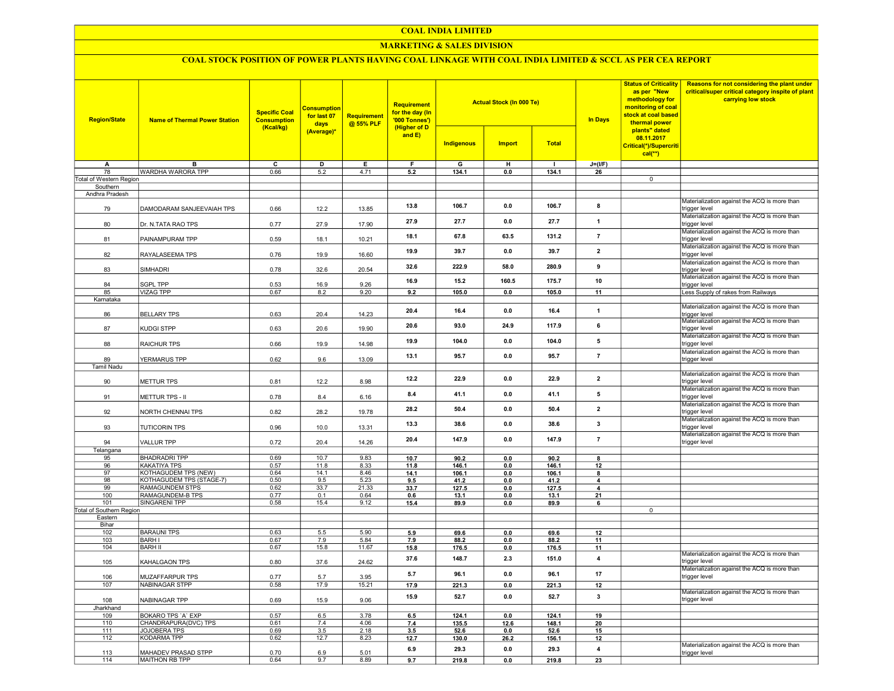#### COAL INDIA LIMITED

## MARKETING & SALES DIVISION

# COAL STOCK POSITION OF POWER PLANTS HAVING COAL LINKAGE WITH COAL INDIA LIMITED & SCCL AS PER CEA REPORT

| <b>Region/State</b>      | <b>Name of Thermal Power Station</b> | <b>Specific Coal</b><br><b>Consumption</b><br>(Kcal/kg) | <b>Consumption</b><br>for last 07<br>days<br>(Average)* | Requirement<br>@ 55% PLF | <b>Requirement</b><br>for the day (In<br>'000 Tonnes')<br>(Higher of D<br>and $E$ ) |                   | <b>Actual Stock (In 000 Te)</b> |                | <b>In Days</b>                | <b>Status of Criticality</b><br>as per "New<br>methodology for<br>monitoring of coal<br>stock at coal based<br>thermal power<br>plants" dated<br>08.11.2017<br>Critical(*)/Supercriti<br>$cal(**)$ | Reasons for not considering the plant under<br>critical/super critical category inspite of plant<br>carrying low stock |
|--------------------------|--------------------------------------|---------------------------------------------------------|---------------------------------------------------------|--------------------------|-------------------------------------------------------------------------------------|-------------------|---------------------------------|----------------|-------------------------------|----------------------------------------------------------------------------------------------------------------------------------------------------------------------------------------------------|------------------------------------------------------------------------------------------------------------------------|
|                          |                                      |                                                         |                                                         |                          |                                                                                     | <b>Indigenous</b> | <b>Import</b>                   | <b>Total</b>   |                               |                                                                                                                                                                                                    |                                                                                                                        |
| A                        | B                                    | $\overline{c}$                                          | $\overline{\mathsf{D}}$                                 | Ε                        | F.                                                                                  | G                 | н                               | $\mathbf{I}$   | $J=(I/F)$                     |                                                                                                                                                                                                    |                                                                                                                        |
| 78                       | WARDHA WARORA TPP                    | 0.66                                                    | 5.2                                                     | 4.71                     | 5.2                                                                                 | 134.1             | 0.0                             | 134.1          | 26                            |                                                                                                                                                                                                    |                                                                                                                        |
| Total of Western Region  |                                      |                                                         |                                                         |                          |                                                                                     |                   |                                 |                |                               | $\mathbf 0$                                                                                                                                                                                        |                                                                                                                        |
| Southern                 |                                      |                                                         |                                                         |                          |                                                                                     |                   |                                 |                |                               |                                                                                                                                                                                                    |                                                                                                                        |
| Andhra Pradesh           |                                      |                                                         |                                                         |                          |                                                                                     |                   |                                 |                |                               |                                                                                                                                                                                                    |                                                                                                                        |
| 79                       | DAMODARAM SANJEEVAIAH TPS            | 0.66                                                    | 12.2                                                    | 13.85                    | 13.8                                                                                | 106.7             | 0.0                             | 106.7          | 8                             |                                                                                                                                                                                                    | Materialization against the ACQ is more than<br>trigger level                                                          |
| 80                       | Dr. N.TATA RAO TPS                   | 0.77                                                    | 27.9                                                    | 17.90                    | 27.9                                                                                | 27.7              | 0.0                             | 27.7           | $\mathbf{1}$                  |                                                                                                                                                                                                    | Materialization against the ACQ is more than<br>trigger level<br>Materialization against the ACQ is more than          |
| 81                       | PAINAMPURAM TPP                      | 0.59                                                    | 18.1                                                    | 10.21                    | 18.1                                                                                | 67.8              | 63.5                            | 131.2          | $\overline{7}$                |                                                                                                                                                                                                    | trigger level<br>Materialization against the ACQ is more than                                                          |
| 82                       | RAYALASEEMA TPS                      | 0.76                                                    | 19.9                                                    | 16.60                    | 19.9                                                                                | 39.7              | 0.0                             | 39.7           | $\mathbf{2}$                  |                                                                                                                                                                                                    | trigger level<br>Materialization against the ACQ is more than                                                          |
| 83                       | SIMHADRI                             | 0.78                                                    | 32.6                                                    | 20.54                    | 32.6                                                                                | 222.9             | 58.0                            | 280.9          | 9                             |                                                                                                                                                                                                    | trigger level<br>Materialization against the ACQ is more than                                                          |
| 84                       | SGPL TPP                             | 0.53                                                    | 16.9                                                    | 9.26                     | 16.9                                                                                | 15.2              | 160.5                           | 175.7          | 10                            |                                                                                                                                                                                                    | trigger level                                                                                                          |
| 85                       | <b>VIZAG TPP</b>                     | 0.67                                                    | 8.2                                                     | 9.20                     | 9.2                                                                                 | 105.0             | 0.0                             | 105.0          | 11                            |                                                                                                                                                                                                    | Less Supply of rakes from Railways                                                                                     |
| Karnataka                |                                      |                                                         |                                                         |                          |                                                                                     |                   |                                 |                |                               |                                                                                                                                                                                                    |                                                                                                                        |
| 86                       | <b>BELLARY TPS</b>                   | 0.63                                                    | 20.4                                                    | 14.23                    | 20.4                                                                                | 16.4              | 0.0                             | 16.4           | 1                             |                                                                                                                                                                                                    | Materialization against the ACQ is more than<br>trigger level                                                          |
| 87                       | KUDGI STPP                           | 0.63                                                    | 20.6                                                    | 19.90                    | 20.6                                                                                | 93.0              | 24.9                            | 117.9          | 6                             |                                                                                                                                                                                                    | Materialization against the ACQ is more than<br>trigger level                                                          |
| 88                       | RAICHUR TPS                          | 0.66                                                    | 19.9                                                    | 14.98                    | 19.9                                                                                | 104.0             | 0.0                             | 104.0          | 5                             |                                                                                                                                                                                                    | Materialization against the ACQ is more than<br>trigger level                                                          |
| 89                       | YERMARUS TPP                         | 0.62                                                    | 9.6                                                     | 13.09                    | 13.1                                                                                | 95.7              | 0.0                             | 95.7           | $\overline{7}$                |                                                                                                                                                                                                    | Materialization against the ACQ is more than<br>trigger level                                                          |
| <b>Tamil Nadu</b>        |                                      |                                                         |                                                         |                          |                                                                                     |                   |                                 |                |                               |                                                                                                                                                                                                    |                                                                                                                        |
| 90                       | METTUR TPS                           | 0.81                                                    | 12.2                                                    | 8.98                     | 12.2                                                                                | 22.9              | 0.0                             | 22.9           | $\overline{\mathbf{2}}$       |                                                                                                                                                                                                    | Materialization against the ACQ is more than<br>trigger level                                                          |
| 91                       | METTUR TPS - II                      | 0.78                                                    | 8.4                                                     | 6.16                     | 8.4                                                                                 | 41.1              | 0.0                             | 41.1           | 5                             |                                                                                                                                                                                                    | Materialization against the ACQ is more than<br>trigger level<br>Materialization against the ACQ is more than          |
| 92                       | NORTH CHENNAI TPS                    | 0.82                                                    | 28.2                                                    | 19.78                    | 28.2                                                                                | 50.4              | 0.0                             | 50.4           | $\overline{\mathbf{2}}$       |                                                                                                                                                                                                    | trigger level<br>Materialization against the ACQ is more than                                                          |
| 93                       | <b>TUTICORIN TPS</b>                 | 0.96                                                    | 10.0                                                    | 13.31                    | 13.3                                                                                | 38.6              | 0.0                             | 38.6           | 3                             |                                                                                                                                                                                                    | trigger level<br>Materialization against the ACQ is more than                                                          |
| 94<br>Telangana          | <b>VALLUR TPP</b>                    | 0.72                                                    | 20.4                                                    | 14.26                    | 20.4                                                                                | 147.9             | 0.0                             | 147.9          | $\overline{7}$                |                                                                                                                                                                                                    | trigger level                                                                                                          |
| 95                       | <b>BHADRADRI TPP</b>                 | 0.69                                                    | 10.7                                                    | 9.83                     | 10.7                                                                                | 90.2              | 0.0                             | 90.2           | 8                             |                                                                                                                                                                                                    |                                                                                                                        |
| 96                       | KAKATIYA TPS                         | 0.57                                                    | 11.8                                                    | 8.33                     | 11.8                                                                                | 146.1             | 0.0                             | 146.1          | 12                            |                                                                                                                                                                                                    |                                                                                                                        |
| 97                       | KOTHAGUDEM TPS (NEW)                 | 0.64                                                    | 14.1                                                    | 8.46                     | 14.1                                                                                | 106.1             | 0.0                             | 106.1          | 8                             |                                                                                                                                                                                                    |                                                                                                                        |
| 98                       | KOTHAGUDEM TPS (STAGE-7)             | 0.50                                                    | 9.5                                                     | 5.23                     | 9.5                                                                                 | 41.2              | 0.0                             | 41.2           | 4                             |                                                                                                                                                                                                    |                                                                                                                        |
| 99                       | RAMAGUNDEM STPS                      | 0.62                                                    | 33.7                                                    | 21.33                    | 33.7                                                                                | 127.5             | 0.0                             | 127.5          | 4                             |                                                                                                                                                                                                    |                                                                                                                        |
| 100                      | RAMAGUNDEM-B TPS                     | 0.77                                                    | 0.1                                                     | 0.64                     | 0.6                                                                                 | 13.1              | 0.0                             | 13.1           | 21                            |                                                                                                                                                                                                    |                                                                                                                        |
| 101                      | <b>SINGARENI TPP</b>                 | 0.58                                                    | 15.4                                                    | 9.12                     | 15.4                                                                                | 89.9              | 0.0                             | 89.9           | 6                             |                                                                                                                                                                                                    |                                                                                                                        |
| Total of Southern Region |                                      |                                                         |                                                         |                          |                                                                                     |                   |                                 |                |                               | $\overline{\mathfrak{o}}$                                                                                                                                                                          |                                                                                                                        |
| Eastern                  |                                      |                                                         |                                                         |                          |                                                                                     |                   |                                 |                |                               |                                                                                                                                                                                                    |                                                                                                                        |
| Bihar                    |                                      |                                                         |                                                         |                          |                                                                                     |                   |                                 |                |                               |                                                                                                                                                                                                    |                                                                                                                        |
| 102<br>103               | <b>BARAUNI TPS</b><br><b>BARH I</b>  | 0.63<br>0.67                                            | 5.5<br>7.9                                              | 5.90<br>5.84             | 5.9<br>7.9                                                                          | 69.6<br>88.2      | 0.0<br>0.0                      | 69.6<br>88.2   | 12<br>11                      |                                                                                                                                                                                                    |                                                                                                                        |
| 104                      | <b>BARH II</b>                       | 0.67                                                    | 15.8                                                    | 11.67                    |                                                                                     |                   |                                 |                |                               |                                                                                                                                                                                                    |                                                                                                                        |
| 105                      | KAHALGAON TPS                        | 0.80                                                    | 37.6                                                    | 24.62                    | 15.8<br>37.6                                                                        | 176.5<br>148.7    | 0.0<br>2.3                      | 176.5<br>151.0 | 11<br>$\overline{\mathbf{4}}$ |                                                                                                                                                                                                    | Materialization against the ACQ is more than<br>trigger level                                                          |
| 106                      | MUZAFFARPUR TPS                      | 0.77                                                    | 5.7                                                     | 3.95                     | 5.7                                                                                 | 96.1              | 0.0                             | 96.1           | 17                            |                                                                                                                                                                                                    | Materialization against the ACQ is more than<br>trigger level                                                          |
| 107                      | <b>NABINAGAR STPP</b>                | 0.58                                                    | 17.9                                                    | 15.21                    | 17.9                                                                                | 221.3             | 0.0                             | 221.3          | 12                            |                                                                                                                                                                                                    |                                                                                                                        |
| 108                      | NABINAGAR TPP                        | 0.69                                                    | 15.9                                                    | 9.06                     | 15.9                                                                                | 52.7              | 0.0                             | 52.7           | $\mathbf{3}$                  |                                                                                                                                                                                                    | Materialization against the ACQ is more than<br>trigger level                                                          |
| Jharkhand                |                                      |                                                         |                                                         |                          |                                                                                     |                   |                                 |                |                               |                                                                                                                                                                                                    |                                                                                                                        |
| 109                      | <b>BOKARO TPS 'A' EXP</b>            | 0.57                                                    | 6.5                                                     | 3.78                     | 6.5                                                                                 | 124.1             | 0 <sub>0</sub>                  | 124.1          | 19                            |                                                                                                                                                                                                    |                                                                                                                        |
| 110                      | CHANDRAPURA(DVC) TPS                 | 0.61                                                    | 7.4                                                     | 4.06                     | 7.4                                                                                 | 135.5             | 12.6                            | 148.1          | 20                            |                                                                                                                                                                                                    |                                                                                                                        |
| 111                      | <b>JOJOBERA TPS</b>                  | 0.69                                                    | 3.5                                                     | 2.18                     | 3.5                                                                                 | 52.6              | 0.0                             | 52.6           | 15                            |                                                                                                                                                                                                    |                                                                                                                        |
| 112                      | <b>KODARMA TPP</b>                   | 0.62                                                    | 12.7                                                    | 8.23                     | 12.7                                                                                | 130.0             | 26.2                            | 156.1          | 12                            |                                                                                                                                                                                                    |                                                                                                                        |
| 113                      | MAHADEV PRASAD STPP                  | 0.70                                                    | 6.9                                                     | 5.01                     | 6.9                                                                                 | 29.3              | 0.0                             | 29.3           | 4                             |                                                                                                                                                                                                    | Materialization against the ACQ is more than<br>trigger level                                                          |
| 114                      | MAITHON RB TPP                       | 0.64                                                    | 9.7                                                     | 8.89                     | 9.7                                                                                 | 219.8             | 0.0                             | 219.8          | 23                            |                                                                                                                                                                                                    |                                                                                                                        |